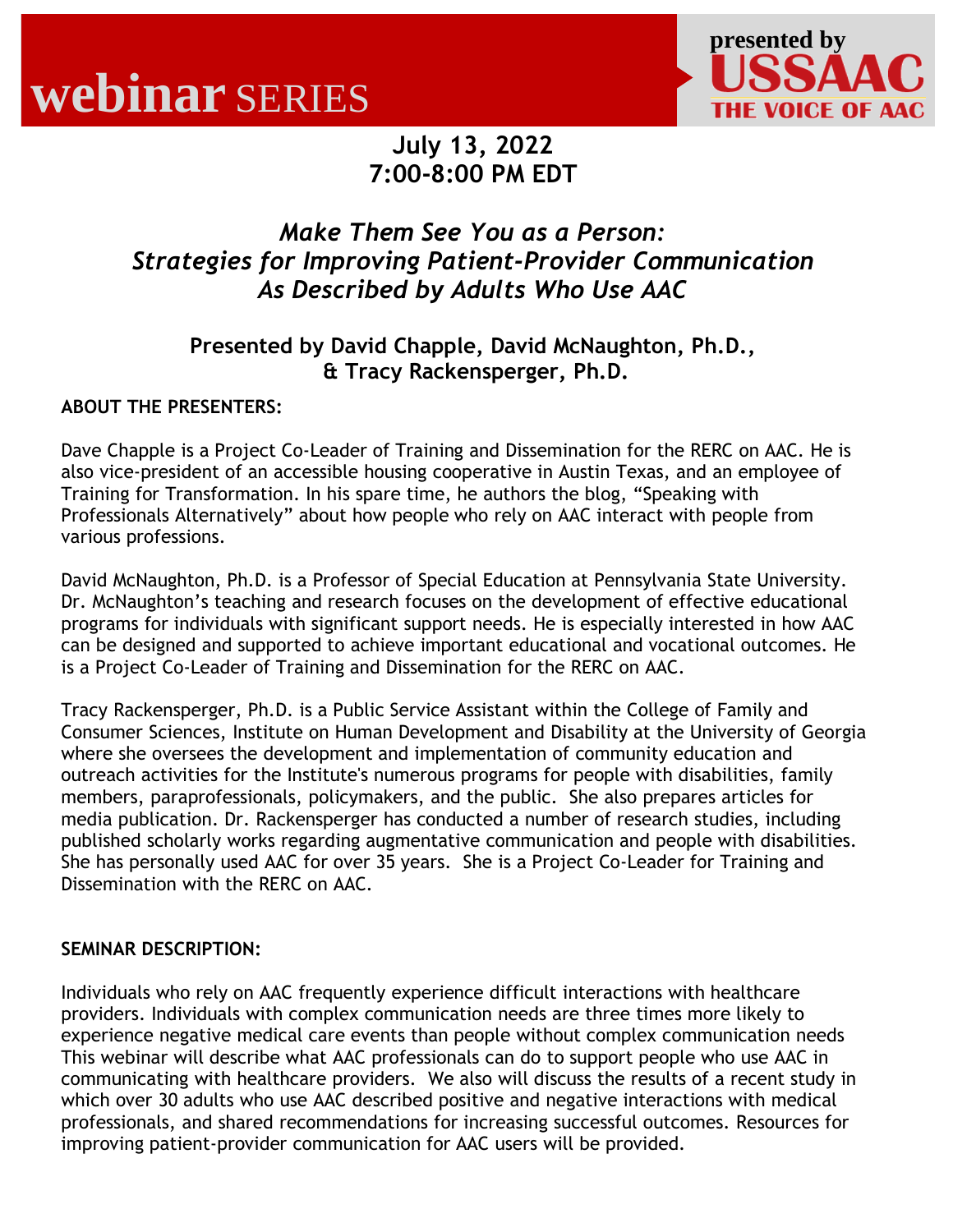

# **July 13, 2022 7:00-8:00 PM EDT**

# *Make Them See You as a Person: Strategies for Improving Patient-Provider Communication As Described by Adults Who Use AAC*

# **Presented by David Chapple, David McNaughton, Ph.D., & Tracy Rackensperger, Ph.D.**

## **ABOUT THE PRESENTERS:**

Dave Chapple is a Project Co-Leader of Training and Dissemination for the RERC on AAC. He is also vice-president of an accessible housing cooperative in Austin Texas, and an employee of Training for Transformation. In his spare time, he authors the blog, "Speaking with Professionals Alternatively" about how people who rely on AAC interact with people from various professions.

David McNaughton, Ph.D. is a Professor of Special Education at Pennsylvania State University. Dr. McNaughton's teaching and research focuses on the development of effective educational programs for individuals with significant support needs. He is especially interested in how AAC can be designed and supported to achieve important educational and vocational outcomes. He is a Project Co-Leader of Training and Dissemination for the RERC on AAC.

Tracy Rackensperger, Ph.D. is a Public Service Assistant within the College of Family and Consumer Sciences, Institute on Human Development and Disability at the University of Georgia where she oversees the development and implementation of community education and outreach activities for the Institute's numerous programs for people with disabilities, family members, paraprofessionals, policymakers, and the public. She also prepares articles for media publication. Dr. Rackensperger has conducted a number of research studies, including published scholarly works regarding augmentative communication and people with disabilities. She has personally used AAC for over 35 years. She is a Project Co-Leader for Training and Dissemination with the RERC on AAC.

## **SEMINAR DESCRIPTION:**

Individuals who rely on AAC frequently experience difficult interactions with healthcare providers. Individuals with complex communication needs are three times more likely to experience negative medical care events than people without complex communication needs This webinar will describe what AAC professionals can do to support people who use AAC in communicating with healthcare providers. We also will discuss the results of a recent study in which over 30 adults who use AAC described positive and negative interactions with medical professionals, and shared recommendations for increasing successful outcomes. Resources for improving patient-provider communication for AAC users will be provided.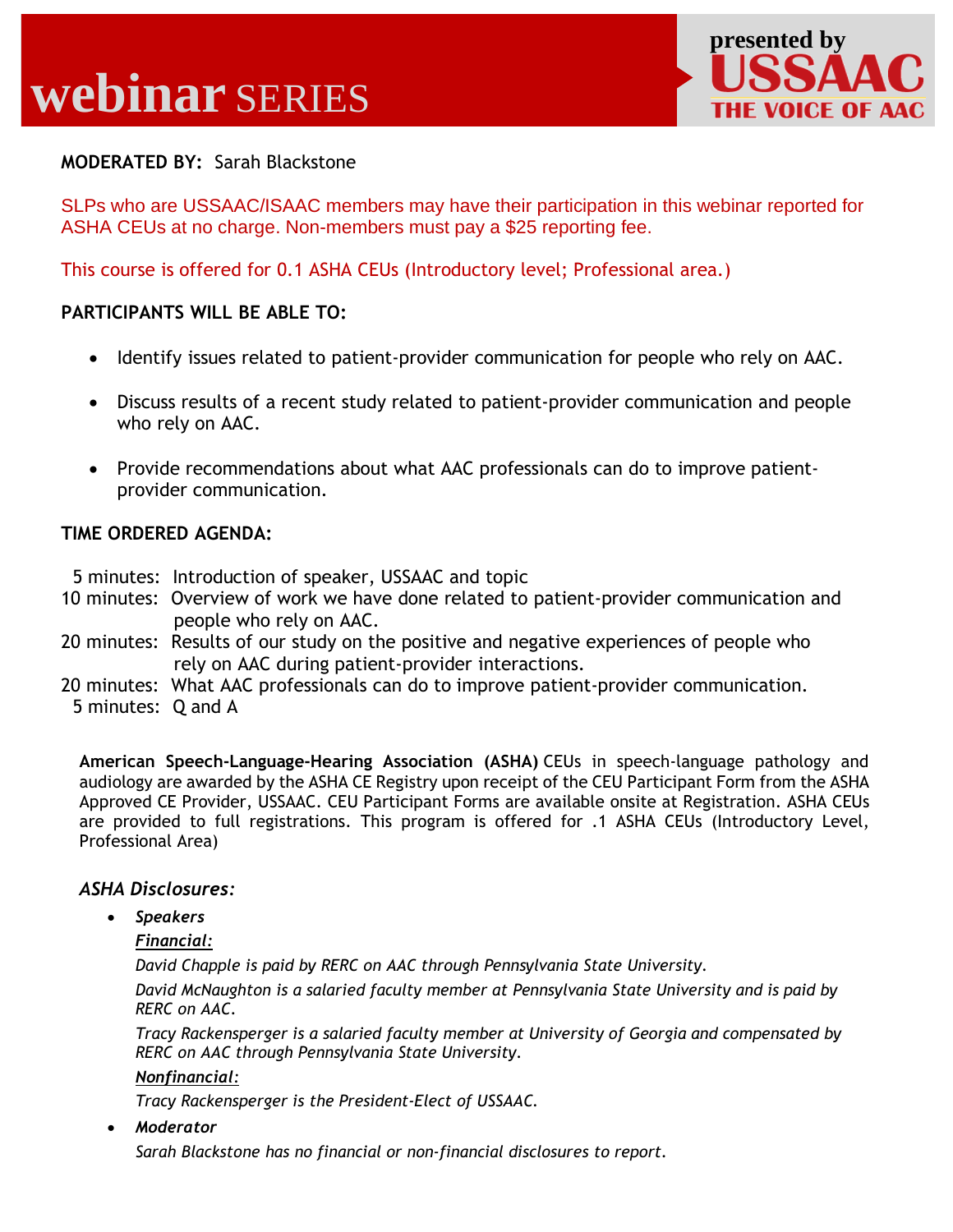

#### **MODERATED BY:** Sarah Blackstone

SLPs who are USSAAC/ISAAC members may have their participation in this webinar reported for ASHA CEUs at no charge. Non-members must pay a \$25 reporting fee.

This course is offered for 0.1 ASHA CEUs (Introductory level; Professional area.)

#### **PARTICIPANTS WILL BE ABLE TO:**

- Identify issues related to patient-provider communication for people who rely on AAC.
- Discuss results of a recent study related to patient-provider communication and people who rely on AAC.
- Provide recommendations about what AAC professionals can do to improve patientprovider communication.

#### **TIME ORDERED AGENDA:**

- 5 minutes: Introduction of speaker, USSAAC and topic
- 10 minutes: Overview of work we have done related to patient-provider communication and people who rely on AAC.
- 20 minutes: Results of our study on the positive and negative experiences of people who rely on AAC during patient-provider interactions.
- 20 minutes: What AAC professionals can do to improve patient-provider communication.
	- 5 minutes: Q and A

**American Speech-Language-Hearing Association (ASHA)** CEUs in speech-language pathology and audiology are awarded by the ASHA CE Registry upon receipt of the CEU Participant Form from the ASHA Approved CE Provider, USSAAC. CEU Participant Forms are available onsite at Registration. ASHA CEUs are provided to full registrations. This program is offered for .1 ASHA CEUs (Introductory Level, Professional Area)

#### *ASHA Disclosures:*

- *Speakers*
	- *Financial:*

*David Chapple is paid by RERC on AAC through Pennsylvania State University.*

*David McNaughton is a salaried faculty member at Pennsylvania State University and is paid by RERC on AAC.*

*Tracy Rackensperger is a salaried faculty member at University of Georgia and compensated by RERC on AAC through Pennsylvania State University.*

*Nonfinancial:* 

*Tracy Rackensperger is the President-Elect of USSAAC.*

• *Moderator*

*Sarah Blackstone has no financial or non-financial disclosures to report.*